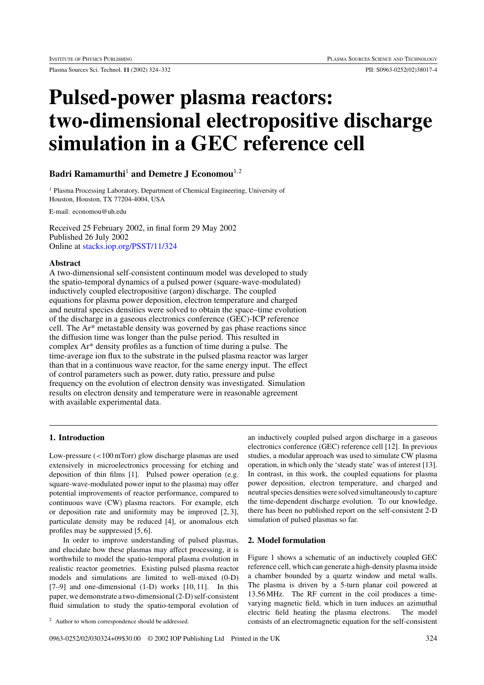Plasma Sources Sci. Technol. **11** (2002) 324–332 PII: S0963-0252(02)38017-4

# **Pulsed-power plasma reactors: two-dimensional electropositive discharge simulation in a GEC reference cell**

# **Badri Ramamurthi**<sup>1</sup> **and Demetre J Economou**<sup>1</sup>*,*<sup>2</sup>

<sup>1</sup> Plasma Processing Laboratory, Department of Chemical Engineering, University of Houston, Houston, TX 77204-4004, USA

E-mail: economou@uh.edu

Received 25 February 2002, in final form 29 May 2002 Published 26 July 2002 Online at [stacks.iop.org/PSST/11/324](http://stacks.iop.org/ps/11/324)

# **Abstract**

A two-dimensional self-consistent continuum model was developed to study the spatio-temporal dynamics of a pulsed power (square-wave-modulated) inductively coupled electropositive (argon) discharge. The coupled equations for plasma power deposition, electron temperature and charged and neutral species densities were solved to obtain the space–time evolution of the discharge in a gaseous electronics conference (GEC)-ICP reference cell. The Ar\* metastable density was governed by gas phase reactions since the diffusion time was longer than the pulse period. This resulted in complex Ar\* density profiles as a function of time during a pulse. The time-average ion flux to the substrate in the pulsed plasma reactor was larger than that in a continuous wave reactor, for the same energy input. The effect of control parameters such as power, duty ratio, pressure and pulse frequency on the evolution of electron density was investigated. Simulation results on electron density and temperature were in reasonable agreement with available experimental data.

# **1. Introduction**

Low-pressure (*<*100 mTorr) glow discharge plasmas are used extensively in microelectronics processing for etching and deposition of thin films [1]. Pulsed power operation (e.g. square-wave-modulated power input to the plasma) may offer potential improvements of reactor performance, compared to continuous wave (CW) plasma reactors. For example, etch or deposition rate and uniformity may be improved [2, 3], particulate density may be reduced [4], or anomalous etch profiles may be suppressed [5, 6].

In order to improve understanding of pulsed plasmas, and elucidate how these plasmas may affect processing, it is worthwhile to model the spatio-temporal plasma evolution in realistic reactor geometries. Existing pulsed plasma reactor models and simulations are limited to well-mixed (0-D) [7–9] and one-dimensional (1-D) works [10, 11]. In this paper, we demonstrate a two-dimensional (2-D) self-consistent fluid simulation to study the spatio-temporal evolution of

an inductively coupled pulsed argon discharge in a gaseous electronics conference (GEC) reference cell [12]. In previous studies, a modular approach was used to simulate CW plasma operation, in which only the 'steady state' was of interest [13]. In contrast, in this work, the coupled equations for plasma power deposition, electron temperature, and charged and neutral species densities were solved simultaneously to capture the time-dependent discharge evolution. To our knowledge, there has been no published report on the self-consistent 2-D simulation of pulsed plasmas so far.

# **2. Model formulation**

Figure 1 shows a schematic of an inductively coupled GEC reference cell, which can generate a high-density plasma inside a chamber bounded by a quartz window and metal walls. The plasma is driven by a 5-turn planar coil powered at 13.56 MHz. The RF current in the coil produces a timevarying magnetic field, which in turn induces an azimuthal electric field heating the plasma electrons. The model consists of an electromagnetic equation for the self-consistent

<sup>2</sup> Author to whom correspondence should be addressed.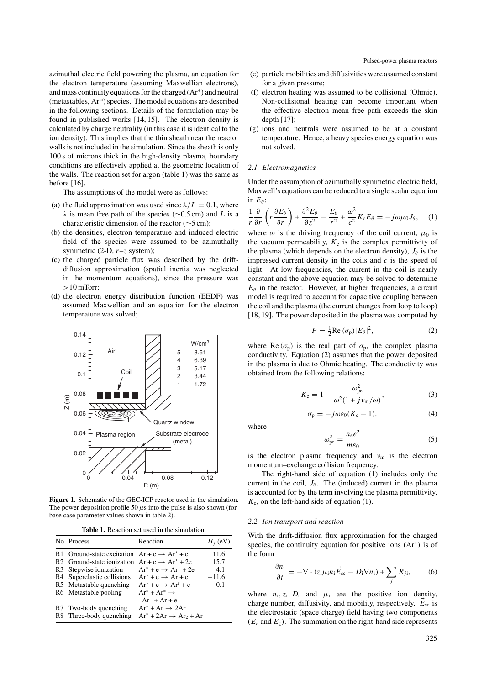azimuthal electric field powering the plasma, an equation for the electron temperature (assuming Maxwellian electrons), and mass continuity equations for the charged (Ar+*)* and neutral (metastables, Ar\*) species. The model equations are described in the following sections. Details of the formulation may be found in published works [14, 15]. The electron density is calculated by charge neutrality (in this case it is identical to the ion density). This implies that the thin sheath near the reactor walls is not included in the simulation. Since the sheath is only 100 s of microns thick in the high-density plasma, boundary conditions are effectively applied at the geometric location of the walls. The reaction set for argon (table 1) was the same as before [16].

The assumptions of the model were as follows:

- (a) the fluid approximation was used since  $\lambda/L = 0.1$ , where *λ* is mean free path of the species (∼0.5 cm) and *L* is a characteristic dimension of the reactor (∼5 cm);
- (b) the densities, electron temperature and induced electric field of the species were assumed to be azimuthally symmetric (2-D, *r*–*z* system);
- (c) the charged particle flux was described by the driftdiffusion approximation (spatial inertia was neglected in the momentum equations), since the pressure was *>*10 mTorr;
- (d) the electron energy distribution function (EEDF) was assumed Maxwellian and an equation for the electron temperature was solved;



**Figure 1.** Schematic of the GEC-ICP reactor used in the simulation. The power deposition profile 50  $\mu$ s into the pulse is also shown (for base case parameter values shown in table 2).

**Table 1.** Reaction set used in the simulation.

| No Process                                                | Reaction                           | $H_i$ (eV) |
|-----------------------------------------------------------|------------------------------------|------------|
| R1 Ground-state excitation $Ar + e \rightarrow Ar^* + e$  |                                    | 11.6       |
| R2 Ground-state ionization $Ar + e \rightarrow Ar^+ + 2e$ |                                    | 15.7       |
| R <sub>3</sub> Stepwise ionization                        | $Ar^* + e \rightarrow Ar^* + 2e$   | 4.1        |
| R4 Superelastic collisions                                | $Ar^* + e \rightarrow Ar + e$      | $-11.6$    |
| R5 Metastable quenching                                   | $Ar^* + e \rightarrow Ar^r + e$    | 0.1        |
| R6 Metastable pooling                                     | $Ar^* + Ar^* \rightarrow$          |            |
|                                                           | $Ar^+ + Ar + e$                    |            |
| R7 Two-body quenching                                     | $Ar^* + Ar \rightarrow 2Ar$        |            |
| R8 Three-body quenching                                   | $Ar^* + 2Ar \rightarrow Ar_2 + Ar$ |            |
|                                                           |                                    |            |

- (e) particle mobilities and diffusivities were assumed constant for a given pressure;
- (f) electron heating was assumed to be collisional (Ohmic). Non-collisional heating can become important when the effective electron mean free path exceeds the skin depth [17];
- (g) ions and neutrals were assumed to be at a constant temperature. Hence, a heavy species energy equation was not solved.

#### *2.1. Electromagnetics*

Under the assumption of azimuthally symmetric electric field, Maxwell's equations can be reduced to a single scalar equation in *E<sub>θ</sub>*:

$$
\frac{1}{r}\frac{\partial}{\partial r}\left(r\frac{\partial E_{\theta}}{\partial r}\right) + \frac{\partial^2 E_{\theta}}{\partial z^2} - \frac{E_{\theta}}{r^2} + \frac{\omega^2}{c^2}K_{c}E_{\theta} = -j\omega\mu_0 J_{\theta}, \quad (1)
$$

where  $\omega$  is the driving frequency of the coil current,  $\mu_0$  is the vacuum permeability,  $K_c$  is the complex permittivity of the plasma (which depends on the electron density),  $J_\theta$  is the impressed current density in the coils and *c* is the speed of light. At low frequencies, the current in the coil is nearly constant and the above equation may be solved to determine  $E_\theta$  in the reactor. However, at higher frequencies, a circuit model is required to account for capacitive coupling between the coil and the plasma (the current changes from loop to loop) [18, 19]. The power deposited in the plasma was computed by

$$
P = \frac{1}{2} \text{Re} \left( \sigma_{\text{p}} \right) |E_{\theta}|^2, \tag{2}
$$

where  $\text{Re}(\sigma_p)$  is the real part of  $\sigma_p$ , the complex plasma conductivity. Equation (2) assumes that the power deposited in the plasma is due to Ohmic heating. The conductivity was obtained from the following relations:

$$
K_{\rm c} = 1 - \frac{\omega_{\rm pe}^2}{\omega^2 (1 + j v_{\rm m}/\omega)},
$$
 (3)

$$
\sigma_{\mathbf{p}} = -j\omega\varepsilon_0(K_{\mathbf{c}} - 1),\tag{4}
$$

where

$$
\omega_{\rm pe}^2 = \frac{n_{\rm e}e^2}{m\varepsilon_0} \tag{5}
$$

is the electron plasma frequency and  $v_m$  is the electron momentum–exchange collision frequency.

The right-hand side of equation (1) includes only the current in the coil,  $J_\theta$ . The (induced) current in the plasma is accounted for by the term involving the plasma permittivity,  $K_c$ , on the left-hand side of equation (1).

#### *2.2. Ion transport and reaction*

With the drift-diffusion flux approximation for the charged species, the continuity equation for positive ions  $(Ar^+)$  is of the form

$$
\frac{\partial n_i}{\partial t} = -\nabla \cdot (z_i \mu_i n_i \vec{E}_{\rm sc} - D_i \nabla n_i) + \sum_j R_{ji},\qquad(6)
$$

where  $n_i$ ,  $z_i$ ,  $D_i$  and  $\mu_i$  are the positive ion density, charge number, diffusivity, and mobility, respectively.  $\vec{E}_{\text{sc}}$  is the electrostatic (space charge) field having two components  $(E_r$  and  $E_z$ ). The summation on the right-hand side represents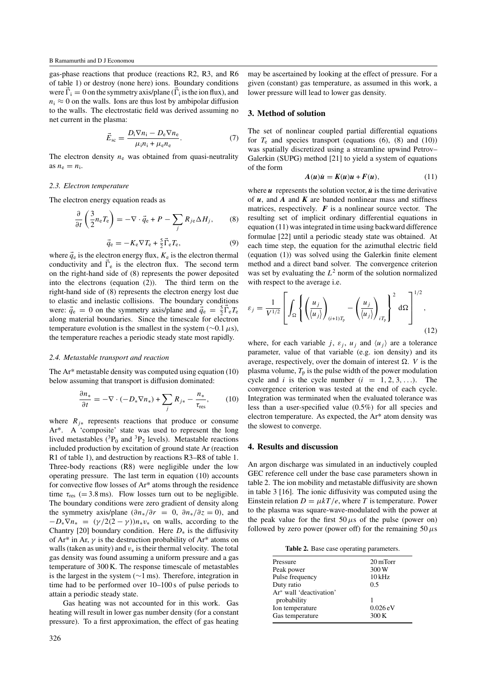gas-phase reactions that produce (reactions R2, R3, and R6 of table 1) or destroy (none here) ions. Boundary conditions were  $\vec{\Gamma}_i = 0$  on the symmetry axis/plane ( $\vec{\Gamma}_i$  is the ion flux), and  $n_i \approx 0$  on the walls. Ions are thus lost by ambipolar diffusion to the walls. The electrostatic field was derived assuming no net current in the plasma:

$$
\vec{E}_{\rm sc} = \frac{D_{\rm i} \nabla n_{\rm i} - D_{\rm e} \nabla n_{\rm e}}{\mu_{\rm i} n_{\rm i} + \mu_{\rm e} n_{\rm e}}.
$$
(7)

The electron density  $n_e$  was obtained from quasi-neutrality as  $n_e = n_i$ .

#### *2.3. Electron temperature*

The electron energy equation reads as

$$
\frac{\partial}{\partial t} \left( \frac{3}{2} n_e T_e \right) = -\nabla \cdot \vec{q}_e + P - \sum_j R_{j e} \Delta H_j, \tag{8}
$$

$$
\vec{q}_e = -K_e \nabla T_e + \frac{5}{2} \vec{\Gamma}_e T_e,\tag{9}
$$

where  $\vec{q}_e$  is the electron energy flux,  $K_e$  is the electron thermal conductivity and  $\vec{\Gamma}_e$  is the electron flux. The second term on the right-hand side of (8) represents the power deposited into the electrons (equation (2)). The third term on the right-hand side of (8) represents the electron energy lost due to elastic and inelastic collisions. The boundary conditions were:  $\vec{q}_e = 0$  on the symmetry axis/plane and  $\vec{q}_e = \frac{5}{2}\vec{\Gamma}_e T_e$ along material boundaries. Since the timescale for electron temperature evolution is the smallest in the system (∼0.1*µ*s), the temperature reaches a periodic steady state most rapidly.

#### *2.4. Metastable transport and reaction*

The Ar\* metastable density was computed using equation (10) below assuming that transport is diffusion dominated:

$$
\frac{\partial n_*}{\partial t} = -\nabla \cdot (-D_* \nabla n_*) + \sum_j R_{j*} - \frac{n_*}{\tau_{\text{res}}},\qquad(10)
$$

where  $R_{i*}$  represents reactions that produce or consume Ar\*. A 'composite' state was used to represent the long lived metastables ( ${}^{3}P_{0}$  and  ${}^{3}P_{2}$  levels). Metastable reactions included production by excitation of ground state Ar (reaction R1 of table 1), and destruction by reactions R3–R8 of table 1. Three-body reactions (R8) were negligible under the low operating pressure. The last term in equation (10) accounts for convective flow losses of Ar\* atoms through the residence time  $\tau_{res}$  (= 3.8 ms). Flow losses turn out to be negligible. The boundary conditions were zero gradient of density along the symmetry axis/plane  $(\partial n_*/\partial r = 0, \ \partial n_*/\partial z = 0)$ , and  $-D_*\nabla n_* = (\gamma/2(2-\gamma))n_*v_*$  on walls, according to the Chantry [20] boundary condition. Here *D*<sup>∗</sup> is the diffusivity of Ar<sup>\*</sup> in Ar,  $\gamma$  is the destruction probability of Ar<sup>\*</sup> atoms on walls (taken as unity) and *v*<sup>∗</sup> is their thermal velocity. The total gas density was found assuming a uniform pressure and a gas temperature of 300 K. The response timescale of metastables is the largest in the system (∼1 ms). Therefore, integration in time had to be performed over 10–100 s of pulse periods to attain a periodic steady state.

Gas heating was not accounted for in this work. Gas heating will result in lower gas number density (for a constant pressure). To a first approximation, the effect of gas heating may be ascertained by looking at the effect of pressure. For a given (constant) gas temperature, as assumed in this work, a lower pressure will lead to lower gas density.

# **3. Method of solution**

The set of nonlinear coupled partial differential equations for  $T_e$  and species transport (equations (6), (8) and (10)) was spatially discretized using a streamline upwind Petrov– Galerkin (SUPG) method [21] to yield a system of equations of the form

$$
A(u)\dot{u} = K(u)u + F(u), \qquad (11)
$$

where  $\boldsymbol{u}$  represents the solution vector,  $\boldsymbol{\dot{u}}$  is the time derivative of *u*, and *A* and *K* are banded nonlinear mass and stiffness matrices, respectively.  $\boldsymbol{F}$  is a nonlinear source vector. The resulting set of implicit ordinary differential equations in equation (11) was integrated in time using backward difference formulae [22] until a periodic steady state was obtained. At each time step, the equation for the azimuthal electric field (equation (1)) was solved using the Galerkin finite element method and a direct band solver. The convergence criterion was set by evaluating the  $L^2$  norm of the solution normalized with respect to the average i.e.

$$
\varepsilon_j = \frac{1}{V^{1/2}} \left[ \int_{\Omega} \left\{ \left( \frac{u_j}{\langle u_j \rangle} \right)_{(i+1)T_p} - \left( \frac{u_j}{\langle u_j \rangle} \right)_{iT_p} \right\}^2 d\Omega \right]^{1/2},
$$
\n(12)

where, for each variable *j*,  $\varepsilon_j$ ,  $u_j$  and  $\langle u_j \rangle$  are a tolerance parameter, value of that variable (e.g. ion density) and its average, respectively, over the domain of interest  $\Omega$ . *V* is the plasma volume,  $T_p$  is the pulse width of the power modulation cycle and *i* is the cycle number  $(i = 1, 2, 3, \ldots)$ . The convergence criterion was tested at the end of each cycle. Integration was terminated when the evaluated tolerance was less than a user-specified value (0.5%) for all species and electron temperature. As expected, the Ar\* atom density was the slowest to converge.

#### **4. Results and discussion**

An argon discharge was simulated in an inductively coupled GEC reference cell under the base case parameters shown in table 2. The ion mobility and metastable diffusivity are shown in table 3 [16]. The ionic diffusivity was computed using the Einstein relation  $D = \mu kT/e$ , where *T* is temperature. Power to the plasma was square-wave-modulated with the power at the peak value for the first  $50 \mu s$  of the pulse (power on) followed by zero power (power off) for the remaining  $50 \mu s$ 

|  |  |  |  | Table 2. Base case operating parameters. |
|--|--|--|--|------------------------------------------|
|--|--|--|--|------------------------------------------|

| Pressure                | 20 mTorr   |
|-------------------------|------------|
| Peak power              | 300W       |
| Pulse frequency         | $10$ kHz   |
| Duty ratio              | 0.5        |
| Ar* wall 'deactivation' |            |
| probability             |            |
| Ion temperature         | $0.026$ eV |
| Gas temperature         | 300K       |
|                         |            |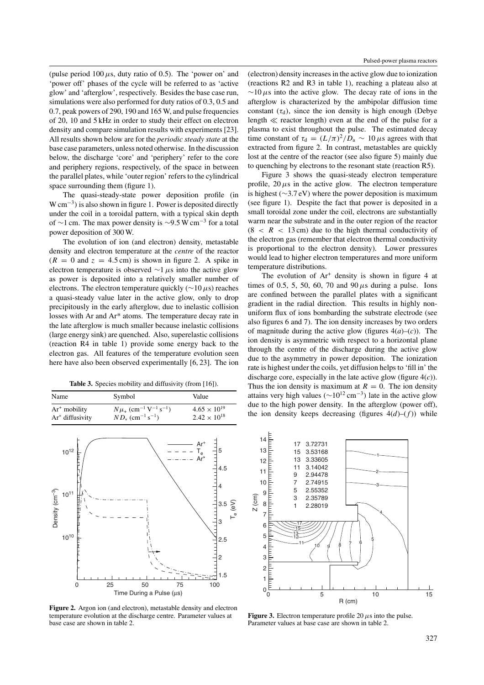(pulse period  $100 \mu s$ , duty ratio of 0.5). The 'power on' and 'power off' phases of the cycle will be referred to as 'active glow' and 'afterglow', respectively. Besides the base case run, simulations were also performed for duty ratios of 0.3, 0.5 and 0.7, peak powers of 290, 190 and 165 W, and pulse frequencies of 20, 10 and 5 kHz in order to study their effect on electron density and compare simulation results with experiments [23]. All results shown below are for the *periodic steady state* at the base case parameters, unless noted otherwise. In the discussion below, the discharge 'core' and 'periphery' refer to the core and periphery regions, respectively, of the space in between the parallel plates, while 'outer region' refers to the cylindrical space surrounding them (figure 1).

The quasi-steady-state power deposition profile (in W cm−3*)* is also shown in figure 1. Power is deposited directly under the coil in a toroidal pattern, with a typical skin depth of ∼1 cm. The max power density is ∼9.5 W cm<sup>-3</sup> for a total power deposition of 300 W.

The evolution of ion (and electron) density, metastable density and electron temperature at the *centre* of the reactor  $(R = 0$  and  $z = 4.5$  cm) is shown in figure 2. A spike in electron temperature is observed ∼1*µ*s into the active glow as power is deposited into a relatively smaller number of electrons. The electron temperature quickly (∼10*µ*s) reaches a quasi-steady value later in the active glow, only to drop precipitously in the early afterglow, due to inelastic collision losses with Ar and Ar\* atoms. The temperature decay rate in the late afterglow is much smaller because inelastic collisions (large energy sink) are quenched. Also, superelastic collisions (reaction R4 in table 1) provide some energy back to the electron gas. All features of the temperature evolution seen here have also been observed experimentally [6, 23]. The ion

Table 3. Species mobility and diffusivity (from [16]).

| Name               | Symbol                                                         | Value                 |
|--------------------|----------------------------------------------------------------|-----------------------|
| $Ar^+$ mobility    | $N\mu_{+}$ (cm <sup>-1</sup> V <sup>-1</sup> s <sup>-1</sup> ) | $4.65 \times 10^{19}$ |
| $Ar^*$ diffusivity | $ND_*$ (cm <sup>-1</sup> s <sup>-1</sup> )                     | $2.42 \times 10^{18}$ |

(electron) density increases in the active glow due to ionization (reactions R2 and R3 in table 1), reaching a plateau also at ∼10*µ*s into the active glow. The decay rate of ions in the afterglow is characterized by the ambipolar diffusion time constant  $(\tau_d)$ , since the ion density is high enough (Debye length  $\ll$  reactor length) even at the end of the pulse for a plasma to exist throughout the pulse. The estimated decay time constant of  $\tau_d = (L/\pi)^2/D_a \sim 10 \,\mu s$  agrees with that extracted from figure 2. In contrast, metastables are quickly lost at the centre of the reactor (see also figure 5) mainly due to quenching by electrons to the resonant state (reaction R5).

Figure 3 shows the quasi-steady electron temperature profile,  $20 \mu s$  in the active glow. The electron temperature is highest (∼3.7 eV) where the power deposition is maximum (see figure 1). Despite the fact that power is deposited in a small toroidal zone under the coil, electrons are substantially warm near the substrate and in the outer region of the reactor  $(8 < R < 13$  cm) due to the high thermal conductivity of the electron gas (remember that electron thermal conductivity is proportional to the electron density). Lower pressures would lead to higher electron temperatures and more uniform temperature distributions.

The evolution of  $Ar<sup>+</sup>$  density is shown in figure 4 at times of 0.5, 5, 50, 60, 70 and 90*µ*s during a pulse. Ions are confined between the parallel plates with a significant gradient in the radial direction. This results in highly nonuniform flux of ions bombarding the substrate electrode (see also figures 6 and 7). The ion density increases by two orders of magnitude during the active glow (figures  $4(a)$ –(*c*)). The ion density is asymmetric with respect to a horizontal plane through the centre of the discharge during the active glow due to the asymmetry in power deposition. The ionization rate is highest under the coils, yet diffusion helps to 'fill in' the discharge core, especially in the late active glow (figure 4(*c*)). Thus the ion density is maximum at  $R = 0$ . The ion density attains very high values ( $\sim 10^{12}$  cm<sup>-3</sup>) late in the active glow due to the high power density. In the afterglow (power off), the ion density keeps decreasing (figures  $4(d)$ – $(f)$ ) while



**Figure 2.** Argon ion (and electron), metastable density and electron temperature evolution at the discharge centre. Parameter values at base case are shown in table 2.



**Figure 3.** Electron temperature profile 20  $\mu$ s into the pulse. Parameter values at base case are shown in table 2.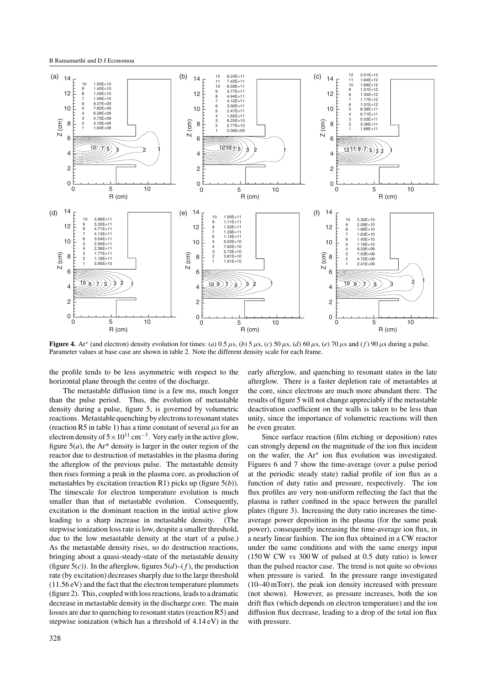

Figure 4. Ar<sup>+</sup> (and electron) density evolution for times: (a) 0.5  $\mu$ s, (b) 5  $\mu$ s, (c) 50  $\mu$ s, (d) 60  $\mu$ s, (e) 70  $\mu$ s and (f) 90  $\mu$ s during a pulse. Parameter values at base case are shown in table 2. Note the different density scale for each frame.

the profile tends to be less asymmetric with respect to the horizontal plane through the centre of the discharge.

The metastable diffusion time is a few ms, much longer than the pulse period. Thus, the evolution of metastable density during a pulse, figure 5, is governed by volumetric reactions. Metastable quenching by electrons to resonant states (reaction R5 in table 1) has a time constant of several *µ*s for an electron density of  $5 \times 10^{11}$  cm<sup>-3</sup>. Very early in the active glow, figure  $5(a)$ , the Ar<sup>\*</sup> density is larger in the outer region of the reactor due to destruction of metastables in the plasma during the afterglow of the previous pulse. The metastable density then rises forming a peak in the plasma core, as production of metastables by excitation (reaction R1) picks up (figure 5(*b*)). The timescale for electron temperature evolution is much smaller than that of metastable evolution. Consequently, excitation is the dominant reaction in the initial active glow leading to a sharp increase in metastable density. (The stepwise ionization loss rate is low, despite a smaller threshold, due to the low metastable density at the start of a pulse.) As the metastable density rises, so do destruction reactions, bringing about a quasi-steady-state of the metastable density (figure  $5(c)$ ). In the afterglow, figures  $5(d)$ –(*f*), the production rate (by excitation) decreases sharply due to the large threshold (11.56 eV) and the fact that the electron temperature plummets (figure 2). This, coupled with loss reactions, leads to a dramatic decrease in metastable density in the discharge core. The main losses are due to quenching to resonant states (reaction R5) and stepwise ionization (which has a threshold of 4.14 eV) in the

early afterglow, and quenching to resonant states in the late afterglow. There is a faster depletion rate of metastables at the core, since electrons are much more abundant there. The results of figure 5 will not change appreciably if the metastable deactivation coefficient on the walls is taken to be less than unity, since the importance of volumetric reactions will then be even greater.

Since surface reaction (film etching or deposition) rates can strongly depend on the magnitude of the ion flux incident on the wafer, the Ar<sup>+</sup> ion flux evolution was investigated. Figures 6 and 7 show the time-average (over a pulse period at the periodic steady state) radial profile of ion flux as a function of duty ratio and pressure, respectively. The ion flux profiles are very non-uniform reflecting the fact that the plasma is rather confined in the space between the parallel plates (figure 3). Increasing the duty ratio increases the timeaverage power deposition in the plasma (for the same peak power), consequently increasing the time-average ion flux, in a nearly linear fashion. The ion flux obtained in a CW reactor under the same conditions and with the same energy input (150 W CW vs 300 W of pulsed at 0.5 duty ratio) is lower than the pulsed reactor case. The trend is not quite so obvious when pressure is varied. In the pressure range investigated (10–40 mTorr), the peak ion density increased with pressure (not shown). However, as pressure increases, both the ion drift flux (which depends on electron temperature) and the ion diffusion flux decrease, leading to a drop of the total ion flux with pressure.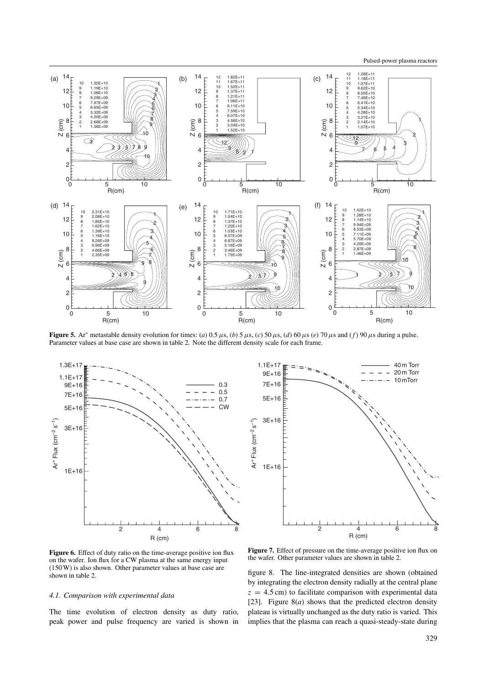Pulsed-power plasma reactors



**Figure 5.** Ar<sup>\*</sup> metastable density evolution for times: (*a*)  $0.5 \mu s$ , (*b*)  $5 \mu s$ , (*c*)  $50 \mu s$ , (*d*)  $60 \mu s$  (*e*)  $70 \mu s$  and (*f*)  $90 \mu s$  during a pulse. Parameter values at base case are shown in table 2. Note the different density scale for each frame.



1.1E+17 40 m Torr 9E+16 20 m Torr 10 mTorr 7E+16 5E+16 3E+16  $ArFlux (cm<sup>-2</sup> s<sup>-1</sup>)$ Ar+ Flux (cm–2 s–1) 1E+16 2468 R (cm)

Figure 6. Effect of duty ratio on the time-average positive ion flux on the wafer. Ion flux for a CW plasma at the same energy input (150 W) is also shown. Other parameter values at base case are shown in table 2.

#### *4.1. Comparison with experimental data*

The time evolution of electron density as duty ratio, peak power and pulse frequency are varied is shown in

Figure 7. Effect of pressure on the time-average positive ion flux on the wafer. Other parameter values are shown in table 2.

figure 8. The line-integrated densities are shown (obtained by integrating the electron density radially at the central plane  $z = 4.5$  cm) to facilitate comparison with experimental data [23]. Figure 8(*a*) shows that the predicted electron density plateau is virtually unchanged as the duty ratio is varied. This implies that the plasma can reach a quasi-steady-state during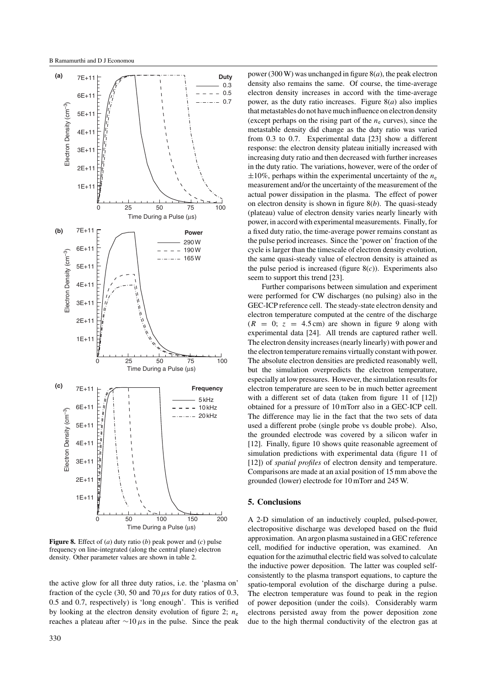

**Figure 8.** Effect of (*a*) duty ratio (*b*) peak power and (*c*) pulse frequency on line-integrated (along the central plane) electron density. Other parameter values are shown in table 2.

the active glow for all three duty ratios, i.e. the 'plasma on' fraction of the cycle (30, 50 and 70  $\mu$ s for duty ratios of 0.3, 0.5 and 0.7, respectively) is 'long enough'. This is verified by looking at the electron density evolution of figure 2;  $n_e$ reaches a plateau after ∼10*µ*s in the pulse. Since the peak

power (300 W) was unchanged in figure 8(*a*), the peak electron density also remains the same. Of course, the time-average electron density increases in accord with the time-average power, as the duty ratio increases. Figure  $8(a)$  also implies that metastables do not have much influence on electron density (except perhaps on the rising part of the  $n_e$  curves), since the metastable density did change as the duty ratio was varied from 0.3 to 0.7. Experimental data [23] show a different response: the electron density plateau initially increased with increasing duty ratio and then decreased with further increases in the duty ratio. The variations, however, were of the order of  $\pm 10\%$ , perhaps within the experimental uncertainty of the  $n_e$ measurement and/or the uncertainty of the measurement of the actual power dissipation in the plasma. The effect of power on electron density is shown in figure 8(*b*). The quasi-steady (plateau) value of electron density varies nearly linearly with power, in accord with experimental measurements. Finally, for a fixed duty ratio, the time-average power remains constant as the pulse period increases. Since the 'power on' fraction of the cycle is larger than the timescale of electron density evolution, the same quasi-steady value of electron density is attained as the pulse period is increased (figure 8(*c*)). Experiments also seem to support this trend [23].

Further comparisons between simulation and experiment were performed for CW discharges (no pulsing) also in the GEC-ICP reference cell. The steady-state electron density and electron temperature computed at the centre of the discharge  $(R = 0; z = 4.5 \text{ cm})$  are shown in figure 9 along with experimental data [24]. All trends are captured rather well. The electron density increases (nearly linearly) with power and the electron temperature remains virtually constant with power. The absolute electron densities are predicted reasonably well, but the simulation overpredicts the electron temperature, especially at low pressures. However, the simulation results for electron temperature are seen to be in much better agreement with a different set of data (taken from figure 11 of [12]) obtained for a pressure of 10 mTorr also in a GEC-ICP cell. The difference may lie in the fact that the two sets of data used a different probe (single probe vs double probe). Also, the grounded electrode was covered by a silicon wafer in [12]. Finally, figure 10 shows quite reasonable agreement of simulation predictions with experimental data (figure 11 of [12]) of *spatial profiles* of electron density and temperature. Comparisons are made at an axial position of 15 mm above the grounded (lower) electrode for 10 mTorr and 245 W.

# **5. Conclusions**

A 2-D simulation of an inductively coupled, pulsed-power, electropositive discharge was developed based on the fluid approximation. An argon plasma sustained in a GEC reference cell, modified for inductive operation, was examined. An equation for the azimuthal electric field was solved to calculate the inductive power deposition. The latter was coupled selfconsistently to the plasma transport equations, to capture the spatio-temporal evolution of the discharge during a pulse. The electron temperature was found to peak in the region of power deposition (under the coils). Considerably warm electrons persisted away from the power deposition zone due to the high thermal conductivity of the electron gas at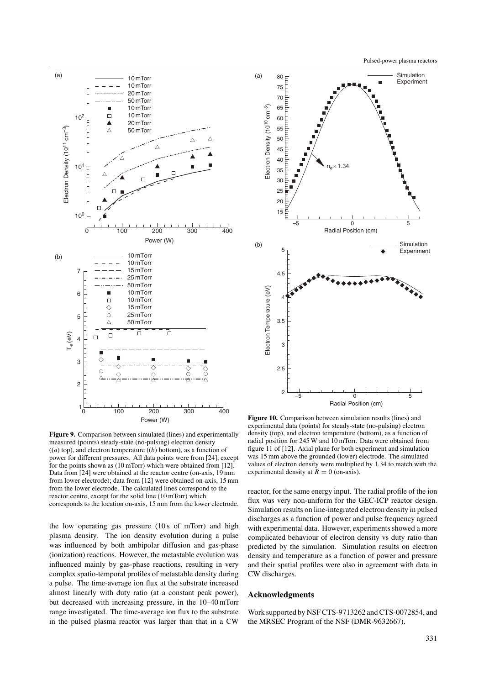



**Figure 9.** Comparison between simulated (lines) and experimentally measured (points) steady-state (no-pulsing) electron density  $((a)$  top), and electron temperature  $((b)$  bottom), as a function of power for different pressures. All data points were from [24], except for the points shown as (10 mTorr) which were obtained from [12]. Data from [24] were obtained at the reactor centre (on-axis, 19 mm from lower electrode); data from [12] were obtained on-axis, 15 mm from the lower electrode. The calculated lines correspond to the reactor centre, except for the solid line (10 mTorr) which corresponds to the location on-axis, 15 mm from the lower electrode.

the low operating gas pressure (10 s of mTorr) and high plasma density. The ion density evolution during a pulse was influenced by both ambipolar diffusion and gas-phase (ionization) reactions. However, the metastable evolution was influenced mainly by gas-phase reactions, resulting in very complex spatio-temporal profiles of metastable density during a pulse. The time-average ion flux at the substrate increased almost linearly with duty ratio (at a constant peak power), but decreased with increasing pressure, in the 10–40 mTorr range investigated. The time-average ion flux to the substrate in the pulsed plasma reactor was larger than that in a CW

**Figure 10.** Comparison between simulation results (lines) and experimental data (points) for steady-state (no-pulsing) electron density (top), and electron temperature (bottom), as a function of radial position for 245 W and 10 mTorr. Data were obtained from figure 11 of [12]. Axial plane for both experiment and simulation was 15 mm above the grounded (lower) electrode. The simulated values of electron density were multiplied by 1.34 to match with the experimental density at  $R = 0$  (on-axis).

reactor, for the same energy input. The radial profile of the ion flux was very non-uniform for the GEC-ICP reactor design. Simulation results on line-integrated electron density in pulsed discharges as a function of power and pulse frequency agreed with experimental data. However, experiments showed a more complicated behaviour of electron density vs duty ratio than predicted by the simulation. Simulation results on electron density and temperature as a function of power and pressure and their spatial profiles were also in agreement with data in CW discharges.

# **Acknowledgments**

Work supported by NSF CTS-9713262 and CTS-0072854, and the MRSEC Program of the NSF (DMR-9632667).